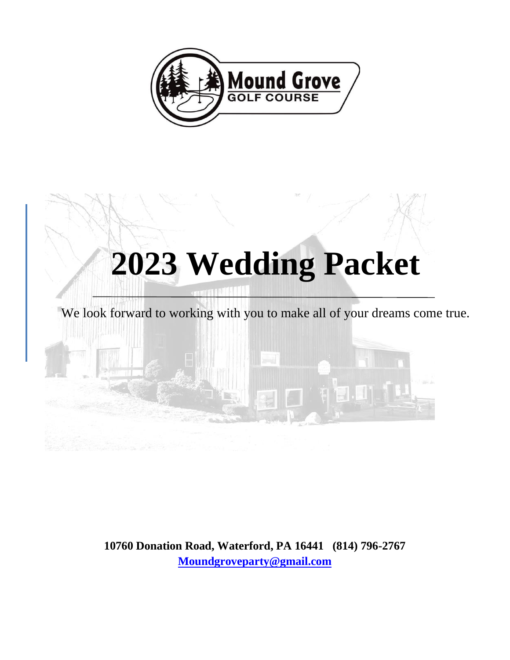



**10760 Donation Road, Waterford, PA 16441 (814) 796-2767 [Moundgroveparty@gmail.com](mailto:Moundgroveparty@gmail.com)**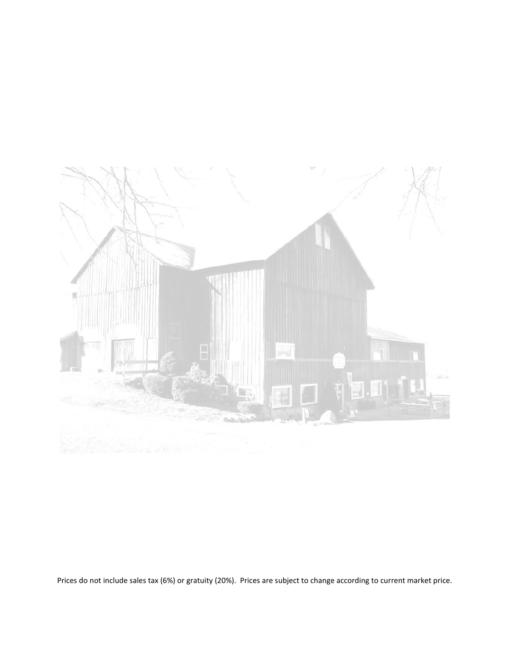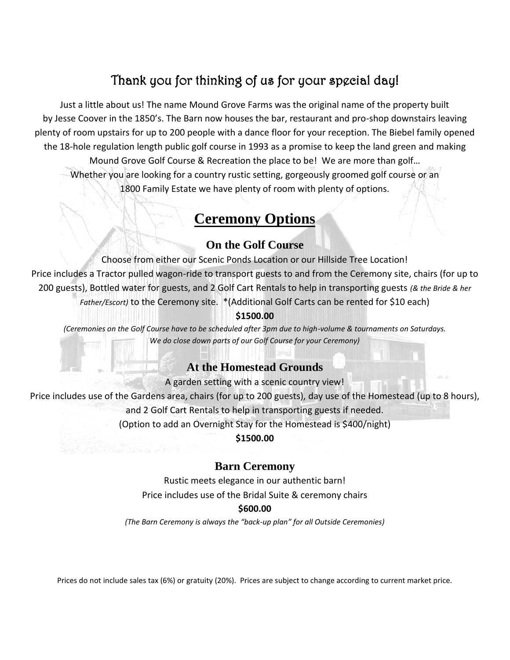# Thank you for thinking of us for your special day!

Just a little about us! The name Mound Grove Farms was the original name of the property built by Jesse Coover in the 1850's. The Barn now houses the bar, restaurant and pro-shop downstairs leaving plenty of room upstairs for up to 200 people with a dance floor for your reception. The Biebel family opened the 18-hole regulation length public golf course in 1993 as a promise to keep the land green and making Mound Grove Golf Course & Recreation the place to be! We are more than golf… Whether you are looking for a country rustic setting, gorgeously groomed golf course or an 1800 Family Estate we have plenty of room with plenty of options.

## **Ceremony Options**

### **On the Golf Course**

Choose from either our Scenic Ponds Location or our Hillside Tree Location! Price includes a Tractor pulled wagon-ride to transport guests to and from the Ceremony site, chairs (for up to 200 guests), Bottled water for guests, and 2 Golf Cart Rentals to help in transporting guests *(& the Bride & her Father/Escort)* to the Ceremony site. \*(Additional Golf Carts can be rented for \$10 each) **\$1500.00**

*(Ceremonies on the Golf Course have to be scheduled after 3pm due to high-volume & tournaments on Saturdays. We do close down parts of our Golf Course for your Ceremony)*

### **At the Homestead Grounds**

A garden setting with a scenic country view!

Price includes use of the Gardens area, chairs (for up to 200 guests), day use of the Homestead (up to 8 hours), and 2 Golf Cart Rentals to help in transporting guests if needed. (Option to add an Overnight Stay for the Homestead is \$400/night)

**\$1500.00**

### **Barn Ceremony**

Rustic meets elegance in our authentic barn! Price includes use of the Bridal Suite & ceremony chairs

#### **\$600.00**

*(The Barn Ceremony is always the "back-up plan" for all Outside Ceremonies)*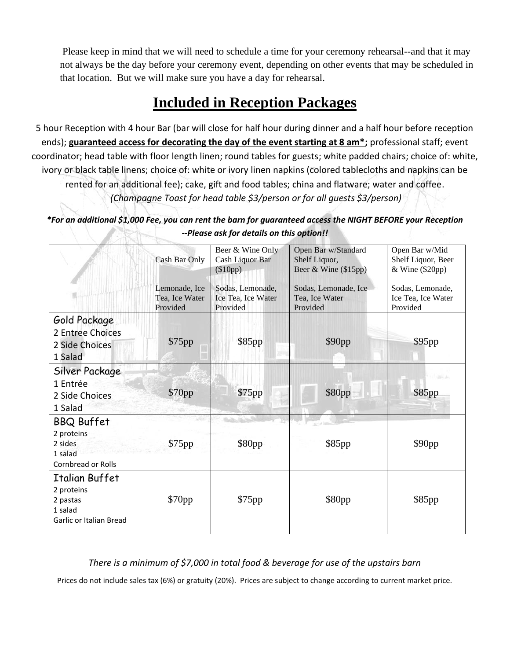Please keep in mind that we will need to schedule a time for your ceremony rehearsal--and that it may not always be the day before your ceremony event, depending on other events that may be scheduled in that location. But we will make sure you have a day for rehearsal.

# **Included in Reception Packages**

5 hour Reception with 4 hour Bar (bar will close for half hour during dinner and a half hour before reception ends); **guaranteed access for decorating the day of the event starting at 8 am\*;** professional staff; event coordinator; head table with floor length linen; round tables for guests; white padded chairs; choice of: white, ivory or black table linens; choice of: white or ivory linen napkins (colored tablecloths and napkins can be rented for an additional fee); cake, gift and food tables; china and flatware; water and coffee. *(Champagne Toast for head table \$3/person or for all guests \$3/person)*

*\*For an additional \$1,000 Fee, you can rent the barn for guaranteed access the NIGHT BEFORE your Reception --Please ask for details on this option!!* Kir

|                                                                                       | Cash Bar Only<br>Lemonade, Ice<br>Tea, Ice Water | Beer & Wine Only<br>Cash Liquor Bar<br>$(\$10pp)$<br>Sodas, Lemonade,<br>Ice Tea, Ice Water | Open Bar w/Standard<br>Shelf Liquor,<br>Beer & Wine (\$15pp)<br>Sodas, Lemonade, Ice<br>Tea, Ice Water | Open Bar w/Mid<br>Shelf Liquor, Beer<br>& Wine (\$20pp)<br>Sodas, Lemonade,<br>Ice Tea, Ice Water |
|---------------------------------------------------------------------------------------|--------------------------------------------------|---------------------------------------------------------------------------------------------|--------------------------------------------------------------------------------------------------------|---------------------------------------------------------------------------------------------------|
|                                                                                       | Provided                                         | Provided                                                                                    | Provided                                                                                               | Provided                                                                                          |
| Gold Package<br>2 Entree Choices<br>2 Side Choices<br>1 Salad                         | \$75pp                                           | \$85pp                                                                                      | \$90pp                                                                                                 | \$95pp                                                                                            |
| Silver Package<br>1 Entrée<br>2 Side Choices<br>1 Salad                               | \$70pp                                           | \$75pp                                                                                      | \$80pp                                                                                                 | \$85pp                                                                                            |
| <b>BBQ Buffet</b><br>2 proteins<br>2 sides<br>1 salad<br><b>Cornbread or Rolls</b>    | \$75pp                                           | \$80pp                                                                                      | \$85pp                                                                                                 | \$90pp                                                                                            |
| Italian Buffet<br>2 proteins<br>2 pastas<br>1 salad<br><b>Garlic or Italian Bread</b> | \$70pp                                           | \$75pp                                                                                      | \$80pp                                                                                                 | \$85pp                                                                                            |

### *There is a minimum of \$7,000 in total food & beverage for use of the upstairs barn*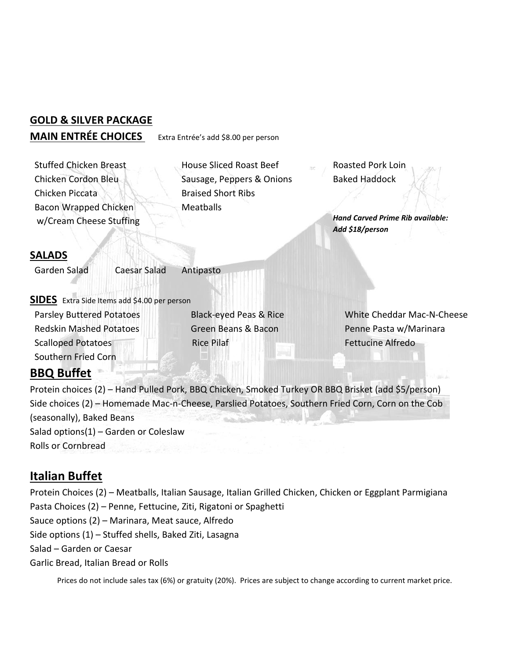## **GOLD & SILVER PACKAGE MAIN ENTRÉE CHOICES** Extra Entrée's add \$8.00 per person

 Chicken Cordon Bleu Chicken Piccata **Bacon Wrapped Chicken** w/Cream Cheese Stuffing

Stuffed Chicken Breast **House Sliced Roast Beef** Roasted Pork Loin Sausage, Peppers & Onions Braised Short Ribs **Meatballs** 

Baked Haddock

*Hand Carved Prime Rib available: Add \$18/person*

### **SALADS**

Garden Salad Caesar Salad Antipasto

**SIDES** Extra Side Items add \$4.00 per person

 Redskin Mashed Potatoes Green Beans & Bacon Penne Pasta w/Marinara Scalloped Potatoes **Rice Pilaf Fettucine Alfredo** Fettucine Alfredo Southern Fried Corn

Parsley Buttered Potatoes Black-eyed Peas & Rice White Cheddar Mac-N-Cheese

## **BBQ Buffet**

Protein choices (2) – Hand Pulled Pork, BBQ Chicken, Smoked Turkey OR BBQ Brisket (add \$5/person) Side choices (2) – Homemade Mac-n-Cheese, Parslied Potatoes, Southern Fried Corn, Corn on the Cob (seasonally), Baked Beans Salad options(1) – Garden or Coleslaw Rolls or Cornbread

## **Italian Buffet**

Protein Choices (2) – Meatballs, Italian Sausage, Italian Grilled Chicken, Chicken or Eggplant Parmigiana Pasta Choices (2) – Penne, Fettucine, Ziti, Rigatoni or Spaghetti Sauce options (2) – Marinara, Meat sauce, Alfredo Side options (1) – Stuffed shells, Baked Ziti, Lasagna Salad – Garden or Caesar

Garlic Bread, Italian Bread or Rolls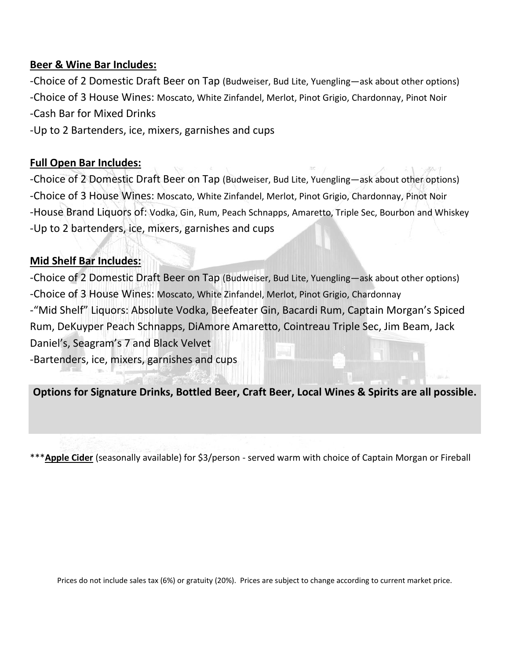### **Beer & Wine Bar Includes:**

-Choice of 2 Domestic Draft Beer on Tap (Budweiser, Bud Lite, Yuengling—ask about other options) -Choice of 3 House Wines: Moscato, White Zinfandel, Merlot, Pinot Grigio, Chardonnay, Pinot Noir -Cash Bar for Mixed Drinks

-Up to 2 Bartenders, ice, mixers, garnishes and cups

### **Full Open Bar Includes:**

-Choice of 2 Domestic Draft Beer on Tap (Budweiser, Bud Lite, Yuengling—ask about other options) -Choice of 3 House Wines: Moscato, White Zinfandel, Merlot, Pinot Grigio, Chardonnay, Pinot Noir -House Brand Liquors of: Vodka, Gin, Rum, Peach Schnapps, Amaretto, Triple Sec, Bourbon and Whiskey -Up to 2 bartenders, ice, mixers, garnishes and cups

## **Mid Shelf Bar Includes:**

-Choice of 2 Domestic Draft Beer on Tap (Budweiser, Bud Lite, Yuengling—ask about other options) -Choice of 3 House Wines: Moscato, White Zinfandel, Merlot, Pinot Grigio, Chardonnay -"Mid Shelf" Liquors: Absolute Vodka, Beefeater Gin, Bacardi Rum, Captain Morgan's Spiced Rum, DeKuyper Peach Schnapps, DiAmore Amaretto, Cointreau Triple Sec, Jim Beam, Jack Daniel's, Seagram's 7 and Black Velvet -Bartenders, ice, mixers, garnishes and cups

**Options for Signature Drinks, Bottled Beer, Craft Beer, Local Wines & Spirits are all possible.**

\*\*\***Apple Cider** (seasonally available) for \$3/person - served warm with choice of Captain Morgan or Fireball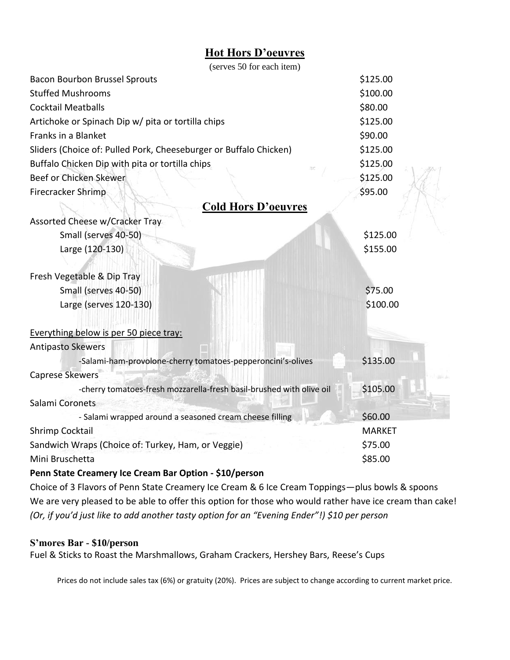## **Hot Hors D'oeuvres**

| (serves 50 for each item)                                            |               |
|----------------------------------------------------------------------|---------------|
| <b>Bacon Bourbon Brussel Sprouts</b>                                 | \$125.00      |
| <b>Stuffed Mushrooms</b>                                             | \$100.00      |
| <b>Cocktail Meatballs</b>                                            | \$80.00       |
| Artichoke or Spinach Dip w/ pita or tortilla chips                   | \$125.00      |
| Franks in a Blanket                                                  | \$90.00       |
| Sliders (Choice of: Pulled Pork, Cheeseburger or Buffalo Chicken)    | \$125.00      |
| Buffalo Chicken Dip with pita or tortilla chips                      | \$125.00      |
| Beef or Chicken Skewer                                               | \$125.00      |
| Firecracker Shrimp                                                   | \$95.00       |
| <b>Cold Hors D'oeuvres</b>                                           |               |
| Assorted Cheese w/Cracker Tray                                       |               |
| Small (serves 40-50)                                                 | \$125.00      |
| Large (120-130)                                                      | \$155.00      |
|                                                                      |               |
| Fresh Vegetable & Dip Tray                                           |               |
| Small (serves 40-50)                                                 | \$75.00       |
| Large (serves 120-130)                                               | \$100.00      |
|                                                                      |               |
| Everything below is per 50 piece tray:                               |               |
| <b>Antipasto Skewers</b>                                             |               |
| -Salami-ham-provolone-cherry tomatoes-pepperoncini's-olives          | \$135.00      |
| <b>Caprese Skewers</b>                                               |               |
| -cherry tomatoes-fresh mozzarella-fresh basil-brushed with olive oil | \$105.00      |
| Salami Coronets                                                      |               |
| - Salami wrapped around a seasoned cream cheese filling              | \$60.00       |
| Shrimp Cocktail                                                      | <b>MARKET</b> |
| Sandwich Wraps (Choice of: Turkey, Ham, or Veggie)                   | \$75.00       |
| Mini Bruschetta                                                      | \$85.00       |
|                                                                      |               |

#### **Penn State Creamery Ice Cream Bar Option - \$10/person**

Choice of 3 Flavors of Penn State Creamery Ice Cream & 6 Ice Cream Toppings—plus bowls & spoons We are very pleased to be able to offer this option for those who would rather have ice cream than cake! *(Or, if you'd just like to add another tasty option for an "Evening Ender"!) \$10 per person*

### **S'mores Bar - \$10/person**

Fuel & Sticks to Roast the Marshmallows, Graham Crackers, Hershey Bars, Reese's Cups